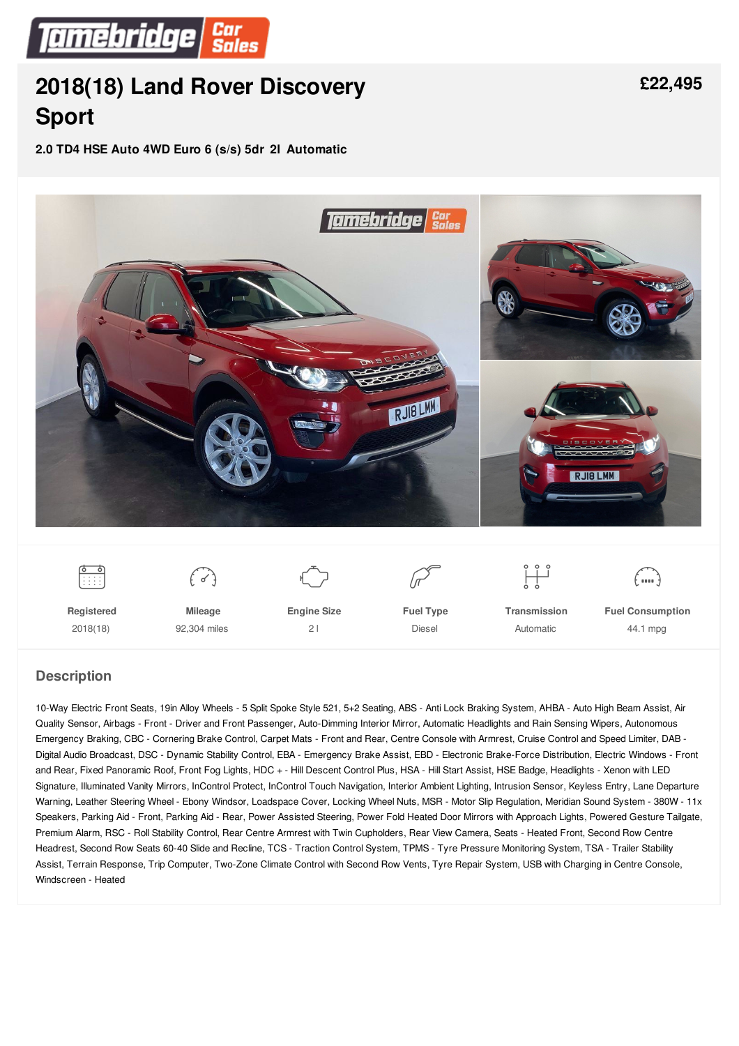

# **2018(18) Land Rover [Discovery](/used-cars/pdf/) Sport**

**2.0 TD4 HSE Auto 4WD Euro 6 (s/s) 5dr 2l Automatic**



#### **Description**

10-Way Electric Front Seats, 19in Alloy Wheels - 5 Split Spoke Style 521, 5+2 Seating, ABS - Anti Lock Braking System, AHBA - Auto High Beam Assist, Air Quality Sensor, Airbags - Front - Driver and Front Passenger, Auto-Dimming Interior Mirror, Automatic Headlights and Rain Sensing Wipers, Autonomous Emergency Braking, CBC - Cornering Brake Control, Carpet Mats - Front and Rear, Centre Console with Armrest, Cruise Control and Speed Limiter, DAB - Digital Audio Broadcast, DSC - Dynamic Stability Control, EBA - Emergency Brake Assist, EBD - Electronic Brake-Force Distribution, Electric Windows - Front and Rear, Fixed Panoramic Roof, Front Fog Lights, HDC + - Hill Descent Control Plus, HSA - Hill Start Assist, HSE Badge, Headlights - Xenon with LED Signature, Illuminated Vanity Mirrors, InControl Protect, InControl Touch Navigation, Interior Ambient Lighting, Intrusion Sensor, Keyless Entry, Lane Departure Warning, Leather Steering Wheel - Ebony Windsor, Loadspace Cover, Locking Wheel Nuts, MSR - Motor Slip Regulation, Meridian Sound System - 380W - 11x Speakers, Parking Aid - Front, Parking Aid - Rear, Power Assisted Steering, Power Fold Heated Door Mirrors with Approach Lights, Powered Gesture Tailgate, Premium Alarm, RSC - Roll Stability Control, Rear Centre Armrest with Twin Cupholders, Rear View Camera, Seats - Heated Front, Second Row Centre Headrest, Second Row Seats 60-40 Slide and Recline, TCS - Traction Control System, TPMS - Tyre Pressure Monitoring System, TSA - Trailer Stability Assist, Terrain Response, Trip Computer, Two-Zone Climate Control with Second Row Vents, Tyre Repair System, USB with Charging in Centre Console, Windscreen - Heated